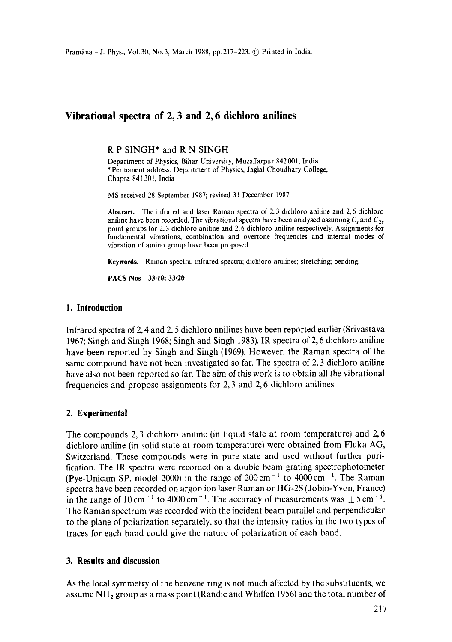# **Vibrational spectra of 2, 3 and 2, 6 dichloro anilines**

R P SINGH\* and R N SINGH

Department of Physics, Bihar University, Muzaffarpur 842 001, India \* Permanent address: Department of Physics, Jaglal Choudhary College, Chapra 841 301, India

MS received 28 September 1987; revised 31 December 1987

**Abstract.** The infrared and laser Raman spectra of 2, 3 dichloro aniline and 2,6 dichloro aniline have been recorded. The vibrational spectra have been analysed assuming  $C_s$  and  $C_{2\nu}$ point groups for 2, 3 dichloro aniline and 2, 6 dichloro aniline respectively. Assignments for fundamental vibrations, combination and overtone frequencies and internal modes of vibration of amino group have been proposed.

**Keywords.** Raman spectra; infrared spectra; dichloro anilines; stretching; bending.

PACS Nos 33.10; **33.20** 

### **I. Introduction**

Infrared spectra of 2, 4 and 2, 5 dichloro anilines have been reported earlier (Srivastava 1967; Singh and Singh 1968; Singh and Singh 1983). IR spectra of 2, 6 dichloro aniline have been reported by Singh and Singh (1969). However, the Raman spectra of the same compound have not been investigated so far. The spectra of 2, 3 dichloro aniline have also not been reported so far. The aim of this work is to obtain all the vibrational frequencies and propose assignments for 2, 3 and 2, 6 dichloro anilines.

# **2. Experimental**

The compounds 2, 3 dichloro aniline (in liquid state at room temperature) and 2, 6 dichloro aniline (in solid state at room temperature) were obtained from Fluka AG, Switzerland. These compounds were in pure state and used without further purification. The IR spectra were recorded on a double beam grating spectrophotometer (Pye-Unicam SP, model 2000) in the range of  $200 \text{ cm}^{-1}$  to  $4000 \text{ cm}^{-1}$ . The Raman spectra have been recorded on argon ion laser Raman or HG-2S (Jobin-Yvon, France) in the range of  $10 \text{ cm}^{-1}$  to  $4000 \text{ cm}^{-1}$ . The accuracy of measurements was  $\pm 5 \text{ cm}^{-1}$ . The Raman spectrum was recorded with the incident beam parallel and perpendicular to the plane of polarization separately, so that the intensity ratios in the two types of traces for each band could give the nature of polarization of each band.

# **3. Results and discussion**

As the local symmetry of the benzene ring is not much affected by the substituents, we assume  $NH<sub>2</sub>$  group as a mass point (Randle and Whiffen 1956) and the total number of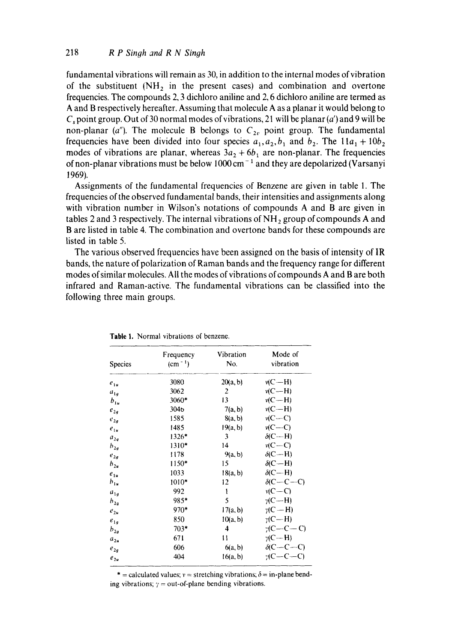**fundamental vibrations will remain as 30, in addition to the internal modes of vibration**  of the substituent  $(NH_2$  in the present cases) and combination and overtone **frequencies. The compounds 2, 3 dichloro aniline and 2, 6 dichloro aniline are termed as A and B respectively hereafter. Assuming that molecule A as a planar it would belong to**   $C_s$  point group. Out of 30 normal modes of vibrations, 21 will be planar  $(a')$  and 9 will be **non-planar** (a"). The molecule **B** belongs to  $C_{2v}$  point group. The fundamental **frequencies** have been divided into four species  $a_1, a_2, b_1$  and  $b_2$ . The  $11a_1 + 10b_2$ modes of vibrations are planar, whereas  $3a_2 + 6b_1$  are non-planar. The frequencies of non-planar vibrations must be below 1000 cm<sup>-1</sup> and they are depolarized (Varsanyi **1969).** 

**Assignments of the fundamental frequencies of Benzene are given in table 1. The frequencies of the observed fundamental bands, their intensities and assignments along with vibration number in Wilson's notations of compounds A and B are given in**  tables 2 and 3 respectively. The internal vibrations of NH<sub>2</sub> group of compounds A and **B are listed in table 4, The combination and overtone bands for these compounds are listed in table 5.** 

**The various observed frequencies have been assigned on the basis of intensity of IR bands, the nature of polarization of Raman bands and the frequency range for different modes of similar molecules. All the modes of vibrations of compounds A and B are both infrared and Raman-active. The fundamental vibrations can be classified into the following three main groups.** 

| Species  | Frequency<br>$(cm-1)$ | Vibration<br>No. | Mode of<br>vibration |
|----------|-----------------------|------------------|----------------------|
| $e_{1u}$ | 3080                  | 20(a, b)         | $v(C-H)$             |
| $a_{1q}$ | 3062                  | 2                | $v(C-H)$             |
| $b_{1u}$ | 3060*                 | 13               | $v(C-H)$             |
| $e_{2a}$ | 304 <sub>b</sub>      | 7(a, b)          | $v(C-H)$             |
| $e_{2g}$ | 1585                  | 8(a, b)          | $v(C-C)$             |
| $e_{1u}$ | 1485                  | 19(a, b)         | $v(C-C)$             |
| $a_{2a}$ | 1326*                 | 3                | $\delta$ (C--H)      |
| $b_{2g}$ | 1310*                 | 14               | $v(C-C)$             |
| $e_{2a}$ | 1178                  | 9(a, b)          | $\delta$ (C-H)       |
| $h_{2u}$ | 1150*                 | 15               | $\delta$ (C-H)       |
| $e_{1u}$ | 1033                  | 18(a, b)         | $\delta$ (C-H)       |
| $b_{1u}$ | $1010*$               | 12               | $\delta$ (C-C-C)     |
| $a_{1a}$ | 992                   | 1                | $v(C-C)$             |
| $h_{2g}$ | 985*                  | 5                | $\gamma$ (C—H)       |
| $e_{2u}$ | $970*$                | 17(a, b)         | $v(C-H)$             |
| $e_{1a}$ | 850                   | 10(a, b)         | $\gamma$ (C-H)       |
| $b_{2g}$ | $703*$                | 4                | $\gamma$ (C—C—C)     |
| $a_{2u}$ | 671                   | 11               | $\gamma$ (C $-$ H)   |
| $e_{2q}$ | 606                   | 6(a, b)          | $\delta(C-C-C)$      |
| $e_{2u}$ | 404                   | 16(a, b)         | $C - C - C$          |

**Table 1. Normal vibrations of benzene.** 

\* = calculated values;  $v =$  stretching vibrations;  $\delta =$  in-plane bending vibrations;  $\gamma$  = out-of-plane bending vibrations.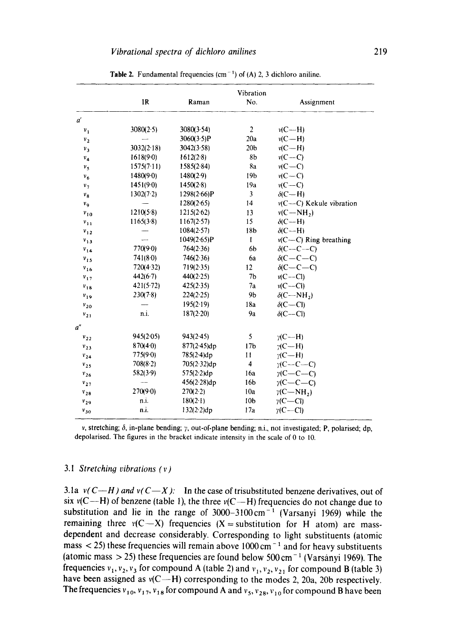|              |             |             | Vibration           |                               |
|--------------|-------------|-------------|---------------------|-------------------------------|
|              | IR          | Raman       | No.                 | Assignment                    |
| $a^{\prime}$ |             |             |                     |                               |
| $v_1$        | 3080(2.5)   | 3080(3.54)  | $\overline{c}$      | $v(C-H)$                      |
| $v_2$        |             | 3060(3.5)P  | 20a                 | $v(C-H)$                      |
| $v_3$        | 3032(2.18)  | 3042(3.58)  | 20 <sub>b</sub>     | $v(C-H)$                      |
| $v_{4}$      | $1618(9-0)$ | 1612(2.8)   | 8 <sub>b</sub>      | $v(C-C)$                      |
| $v_{s}$      | 1575(7.11)  | 1585(2.84)  | 8a                  | $v(C-C)$                      |
| $v_6$        | 1480(9.0)   | 1480(2.9)   | 19b                 | $v(C-C)$                      |
| $v_{7}$      | 1451(9.0)   | 1450(2.8)   | 19a                 | $v(C-C)$                      |
| $v_8$        | 1302(7.2)   | 1298(2.66)P | 3                   | $\delta$ (C-H)                |
| $v_{\rm q}$  |             | 1280(2.65)  | 14                  | v(C-C) Kekule vibration       |
| $v_{10}$     | 1210(5.8)   | 1215(2.62)  | 13                  | $v(C-NH_2)$                   |
| $v_{11}$     | 1165(3.8)   | 1167(2.57)  | 15                  | $\delta$ (C-H)                |
| $v_{12}$     |             | 1084(2.57)  | 18 <sub>b</sub>     | $\delta$ (C--H)               |
| $v_{13}$     |             | 1049(2.65)P | 1                   | $v(C-C)$ Ring breathing       |
| $v_{14}$     | 770(9.0)    | 764(2.36)   | 6b                  | $\delta(C-C-C)$               |
| $v_{15}$     | 741(8.0)    | 746(2.36)   | 6a                  | $\delta$ (C-C-C)              |
| $v_{16}$     | 720(4.32)   | 719(2.35)   | 12                  | $\delta$ (C-C-C)              |
| $v_{17}$     | 442(6.7)    | 440(2.25)   | 7 <sub>b</sub>      | $v(C-CI)$                     |
| $v_{18}$     | 421(5.72)   | 425(2.35)   | 7a                  | $v(C-C)$                      |
| $v_{19}$     | 230(7.8)    | 224(2.25)   | 9 <sub>b</sub>      | $\delta$ (C-NH <sub>2</sub> ) |
| $v_{20}$     |             | 195(2.19)   | 18a                 | $\delta(C-CI)$                |
| $v_{21}$     | n.i.        | 187(2.20)   | 9a                  | $\delta$ (C--Cl)              |
| a''          |             |             |                     |                               |
| $v_{22}$     | 945(2.05)   | 943(2.45)   | 5                   | $\gamma$ (C—H)                |
| $v_{23}$     | 870(4.0)    | 877(2.45)dp | 17 <sub>b</sub>     | $2(C-H)$                      |
| $v_{24}$     | 775(9.0)    | 785(2.4)dp  | 11                  | $\n  w(C - H)$                |
| $v_{25}$     | 708(8.2)    | 705(2.32)dp | $\overline{\bf{4}}$ | $y(C-C-C)$                    |
| $v_{26}$     | 582(3.9)    | 575(2.2)dp  | 16a                 | $\gamma$ (C-C-C)              |
| $v_{27}$     |             | 456(2.28)dp | 16 <sub>b</sub>     | $y(C-C-C)$                    |
| $v_{28}$     | $270(9-0)$  | 270(2.2)    | 10a                 | $\gamma$ (C $-MH2$ )          |
| $v_{29}$     | n.i.        | 180(2.1)    | 10 <sub>b</sub>     | $y(C-C)$                      |
| $v_{30}$     | n.i.        | 132(2.2)dp  | 17a                 | $y(C-CI)$                     |

**Table 2.** Fundamental frequencies (cm<sup>-1</sup>) of (A) 2, 3 dichloro aniline.

v, stretching;  $\delta$ , in-plane bending;  $\gamma$ , out-of-plane bending; n.i., not investigated; P, polarised; dp, depolarised. The figures in the bracket indicate intensity in the scale of 0 to 10.

#### *3.1 Stretching vibrations ( v )*

3.1a  $v(C-H)$  and  $v(C-X)$ : In the case of trisubstituted benzene derivatives, out of six  $v(C-H)$  of benzene (table 1), the three  $v(C-H)$  frequencies do not change due to substitution and lie in the range of  $3000-3100 \text{ cm}^{-1}$  (Varsanyi 1969) while the remaining three  $v(C-X)$  frequencies  $(X = substitution for H atom)$  are massdependent and decrease considerably. Corresponding to light substituents (atomic mass  $\langle 25 \rangle$  these frequencies will remain above 1000 cm<sup>-1</sup> and for heavy substituents (atomic mass  $> 25$ ) these frequencies are found below 500 cm<sup>-1</sup> (Varsanyi 1969). The frequencies  $v_1, v_2, v_3$  for compound A (table 2) and  $v_1, v_2, v_2$  for compound B (table 3) have been assigned as  $v(C-H)$  corresponding to the modes 2, 20a, 20b respectively. The frequencies  $v_{10}$ ,  $v_{17}$ ,  $v_{18}$  for compound A and  $v_5$ ,  $v_{28}$ ,  $v_{10}$  for compound B have been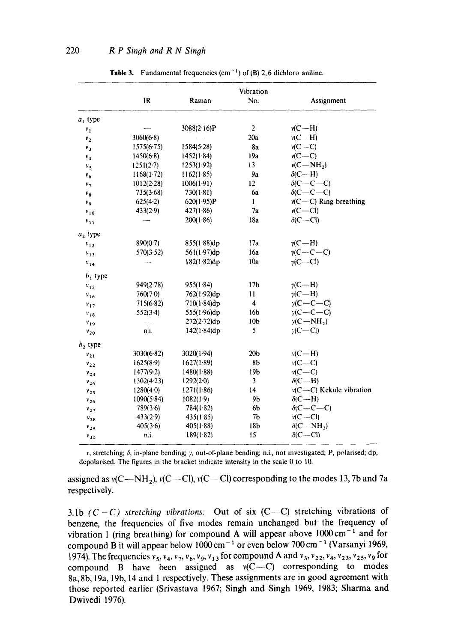|                |            |             | Vibration       |                                 |
|----------------|------------|-------------|-----------------|---------------------------------|
|                | IR         | Raman       | No.             | Assignment                      |
| $a_1$ type     |            |             |                 |                                 |
| $v_1$          |            | 3088(2.16)P | $\overline{2}$  | $v(C-H)$                        |
| $v_{2}$        | 3060(6.8)  |             | 20a             | $v(C-H)$                        |
| $v_3$          | 1575(6.75) | 1584(5.28)  | 8a              | $v(C-C)$                        |
| $v_4$          | 1450(6.8)  | 1452(1.84)  | 19a             | $v(C-C)$                        |
| v <sub>5</sub> | 1251(2.7)  | 1253(1.92)  | 13              | $v(C-NH_2)$                     |
| $v_{6}$        | 1168(1.72) | 1162(1.85)  | 9a              | $\delta$ (C-H)                  |
| $v_{7}$        | 1012(2.28) | 1006(1.91)  | 12              | $\delta$ (C-C-C)                |
| $v_{\rm g}$    | 735(3.68)  | 730(1.81)   | 6a              | $\delta$ (C-C-C)                |
| V <sub>Q</sub> | 625(4.2)   | 620(1.95)P  | 1               | $v(C-C)$ Ring breathing         |
| $v_{10}$       | 433(2.9)   | 427(1.86)   | 7a              | $v(C - Cl)$                     |
| $v_{11}$       |            | 200(1.86)   | 18a             | $\delta$ (C--Cl)                |
| $a_2$ type     |            |             |                 |                                 |
| $v_{12}$       | 890(0.7)   | 855(1.88)dp | 17a             | $\gamma$ (C $-H$ )              |
| $v_{13}$       | 570(3.52)  | 561(1.97)dp | 16a             | $\gamma$ (C-C-C)                |
| $v_{14}$       |            | 182(1.82)dp | 10a             | $\gamma$ (C-Cl)                 |
| $b_1$ type     |            |             |                 |                                 |
| $v_{15}$       | 949(2.78)  | 955(1.84)   | 17 <sub>b</sub> | $\gamma$ (C—H)                  |
| $v_{16}$       | 760(7.0)   | 762(192)dp  | 11              | $y(C-H)$                        |
| $v_{17}$       | 715(6.82)  | 710(1.84)dp | 4               | $\gamma$ (C-C-C)                |
| $v_{18}$       | 552(3.4)   | 555(1.96)dp | 16b             | $v(C-C-C)$                      |
| $v_{19}$       |            | 272(2.72)dp | 10 <sub>b</sub> | $\gamma$ (C $-MH_2$ )           |
| $v_{20}$       | n.i.       | 142(1.84)dp | 5               | $v(C-C)$                        |
| $b_2$ type     |            |             |                 |                                 |
| $v_{21}$       | 3030(6.82) | 3020(1.94)  | 20 <sub>b</sub> | $v(C-H)$                        |
| $v_{22}$       | 1625(8.9)  | 1627(1.89)  | 8 <sub>b</sub>  | $v(C-C)$                        |
| $v_{23}$       | 1477(9.2)  | 1480(1.88)  | 19b             | $v(C-C)$                        |
| $v_{24}$       | 1302(4.23) | 1292(2.0)   | 3               | $\delta$ (C--H)                 |
| $v_{25}$       | 1280(4.0)  | 1271(1.86)  | 14              | $v(C-C)$ Kekule vibration       |
| $v_{26}$       | 1090(5.84) | 1082(1.9)   | 9 <sub>b</sub>  | $\delta$ (C--H)                 |
| $v_{27}$       | 789(3.6)   | 784(1.82)   | 6 <sub>b</sub>  | $\delta$ (C-C-C)                |
| $v_{28}$       | 433(2.9)   | 435(1.85)   | 7 <sub>b</sub>  | $v(C-C)$                        |
| $v_{29}$       | 405(3.6)   | 405(1.88)   | 18 <sub>b</sub> | $\delta$ (C – NH <sub>2</sub> ) |
| $v_{30}$       | n.i.       | 189(1.82)   | 15              | $\delta$ (C--Cl)                |

**Table 3. Fundamental frequencies (cm-** 1 ) of (B) 2, 6 **dichloro aniline.** 

v, stretching; 6, **in-plane bending; y, out-of-plane** bending; n.i., **not investigated; P, polarised;** dp, **depolarised. The figures in the bracket indicate intensity in the scale** 0 to 10.

assigned as  $v(C-NH_2)$ ,  $v(C-CI)$ ,  $v(C-CI)$  corresponding to the modes 13, 7b and 7a respectively.

3.1b  $(C-C)$  stretching vibrations: Out of six  $(C-C)$  stretching vibrations of **benzene, the frequencies of five modes remain unchanged but the frequency of**  vibration 1 (ring breathing) for compound A will appear above 1000 cm<sup>-1</sup> and for compound B it will appear below 1000 cm<sup>-1</sup> or even below 700 cm<sup>-1</sup> (Varsanyi 1969, 1974). The frequencies  $v_5$ ,  $v_4$ ,  $v_7$ ,  $v_6$ ,  $v_9$ ,  $v_{13}$  for compound A and  $v_3$ ,  $v_{22}$ ,  $v_4$ ,  $v_{23}$ ,  $v_{25}$ ,  $v_9$  for compound  $\overrightarrow{B}$  have been assigned as  $v(C-C)$  corresponding to modes **8a, 8b, 19a, 19b, 14 and 1 respectively. These assignments are in good agreement with those reported earlier (Srivastava 1967; Singh and Singh 1969, 1983; Sharma and Dwivedi 1976).**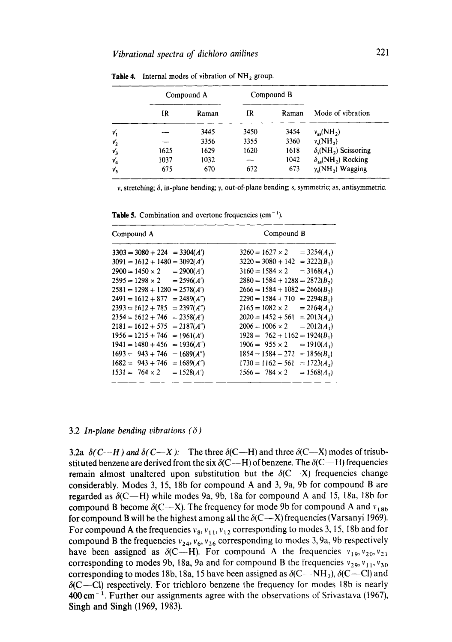|        | Compound A |       |      | Compound B |                                         |
|--------|------------|-------|------|------------|-----------------------------------------|
|        | IR         | Raman | IR   | Raman      | Mode of vibration                       |
| v'     |            | 3445  | 3450 | 3454       | $v_{\infty}(\text{NH}_2)$               |
| $v_2'$ |            | 3356  | 3355 | 3360       | $v_{\rm s}(\text{NH}_2)$                |
| $v_3'$ | 1625       | 1629  | 1620 | 1618       | $\delta$ .(NH <sub>2</sub> ) Scissoring |
| $v'_4$ | 1037       | 1032  |      | 1042       | $\delta_{as}(\text{NH}_2)$ Rocking      |
| v'     | 675        | 670   | 672  | 673        | $\gamma$ . (NH <sub>2</sub> ) Wagging   |

**Table 4.** Internal modes of vibration of NH<sub>2</sub> group.

v, stretching; 6, in-plane bending; y, out-of-plane bending; s, symmetric; as, antisymmetric.

**Table 5.** Combination and overtone frequencies  $(cm<sup>-1</sup>).$ 

| Compound A                          | Compound B                       |
|-------------------------------------|----------------------------------|
| $3303 = 3080 + 224$                 | $3260 = 1627 \times 2$           |
| $= 3304(A')$                        | $= 3254(A1)$                     |
| $3091 = 1612 + 1480 = 3092(A')$     | $3220 = 3080 + 142 = 3222(B_1)$  |
| $2900 = 1450 \times 2$              | $3160 = 1584 \times 2$           |
| $= 2900(A')$                        | $= 3168(A_1)$                    |
| $2595 = 1298 \times 2 = 2596(A')$   | $2880 = 1584 + 1288 = 2872(B_2)$ |
| $2581 = 1298 + 1280 = 2578(A')$     | $2666 = 1584 + 1082 = 2666(B_2)$ |
| $2491 = 1612 + 877$                 | $2290 = 1584 + 710$              |
| $= 2489(A'')$                       | $= 2294(B_1)$                    |
| $2393 = 1612 + 785$                 | $2165 = 1082 \times 2$           |
| $= 2397(A'')$                       | $= 2164(A_1)$                    |
| $2354 = 1612 + 746$                 | $= 2013(A_2)$                    |
| $= 2358(A')$                        | $2020 = 1452 + 561$              |
| $2181 = 1612 + 575$                 | $= 2012(A_1)$                    |
| $= 2187(A'')$                       | $2006 = 1006 \times 2$           |
| $1956 = 1215 + 746$<br>$= 1961(A')$ | $1928 = 762 + 1162 = 1924(B_1)$  |
| $1941 = 1480 + 456$                 | $1906 = 955 \times 2$            |
| $= 1936(A^{n})$                     | $= 1910(A_1)$                    |
| $1693 = 943 + 746$                  | $1854 = 1584 + 272$              |
| $= 1689(A'')$                       | $= 1856(B_1)$                    |
| $= 1689(A'')$                       | $= 1723(A_2)$                    |
| $1682 = 943 + 746$                  | $1730 = 1162 + 561$              |
| $= 1528(A')$                        | $1566 = 784 \times 2$            |
| $1531 = 764 \times 2$               | $= 1568(A_1)$                    |

#### 3.2 *In-plane bending vibrations (6)*

**3.2a**  $\delta(C-H)$  and  $\delta(C-X)$ : The three  $\delta(C-H)$  and three  $\delta(C-X)$  modes of trisubstituted benzene are derived from the six  $\delta$ (C--H) of benzene. The  $\delta$ (C--H) frequencies remain almost unaltered upon substitution but the  $\delta$ (C--X) frequencies change considerably. Modes 3, 15, 18b for compound A and 3, 9a, 9b for compound B are **regarded as**  $\delta$ **(C--H)** while modes 9a, 9b, 18a for compound A and 15, 18a, 18b for compound B become  $\delta$ (C--X). The frequency for mode 9b for compound A and  $v_{18b}$ for compound B will be the highest among all the  $\delta$ (C--X) frequencies (Varsanyi 1969). For compound A the frequencies  $v_8$ ,  $v_{11}$ ,  $v_{12}$  corresponding to modes 3, 15, 18b and for compound B the frequencies  $v_{24}$ ,  $v_6$ ,  $v_{26}$  corresponding to modes 3, 9a, 9b respectively have been assigned as  $\delta$ (C--H). For compound A the frequencies  $v_{19}$ ,  $v_{20}$ ,  $v_{21}$ corresponding to modes 9b, 18a, 9a and for compound B the frequencies  $v_{29}$ ,  $v_{11}$ ,  $v_{30}$ corresponding to modes 18b, 18a, 15 have been assigned as  $\delta$ (C  $-NH_2$ ),  $\delta$ (C—CI) and  $\delta$ (C--Cl) respectively. For trichloro benzene the frequency for modes 18b is nearly  $400 \text{ cm}^{-1}$ . Further our assignments agree with the observations of Srivastava (1967), Singh and Singh (1969, 1983).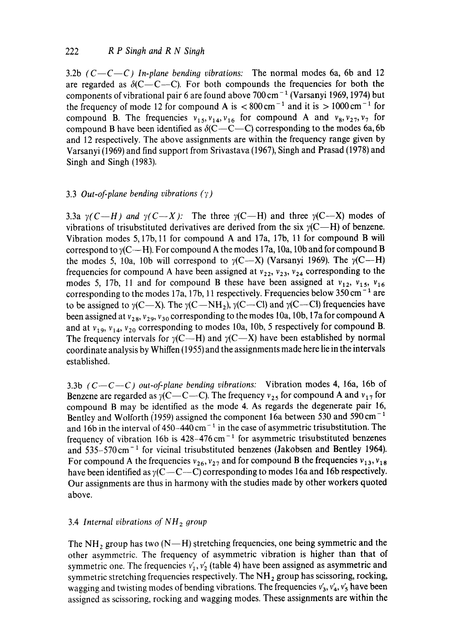3.2b  $(C - C - C)$  In-plane bending vibrations: The normal modes 6a, 6b and 12 are regarded as  $\delta$ (C--C--C). For both compounds the frequencies for both the components of vibrational pair 6 are found above  $700 \text{ cm}^{-1}$  (Varsanyi 1969, 1974) but the frequency of mode 12 for compound A is  $< 800 \text{ cm}^{-1}$  and it is  $> 1000 \text{ cm}^{-1}$  for compound B. The frequencies  $v_{15}$ ,  $v_{14}$ ,  $v_{16}$  for compound A and  $v_8$ ,  $v_{27}$ ,  $v_7$  for compound B have been identified as  $\delta$ (C--C--C) corresponding to the modes 6a, 6b and 12 respectively. The above assignments are within the frequency range given by Varsanyi (1969) and find support from Srivastava (1967), Singh and Prasad (1978) and Singh and Singh (1983).

# 3.3 *Out-of-plane bending vibrations (~')*

3.3a  $\gamma(C-H)$  and  $\gamma(C-X)$ : The three  $\gamma(C-H)$  and three  $\gamma(C-X)$  modes of vibrations of trisubstituted derivatives are derived from the six  $\gamma$ (C--H) of benzene. Vibration modes 5, 17b, 11 for compound A and 17a, 17b, 11 for compound B will correspond to  $\gamma$ (C--H). For compound A the modes 17a, 10a, 10b and for compound B the modes 5, 10a, 10b will correspond to  $\gamma$ (C--X) (Varsanyi 1969). The  $\gamma$ (C--H) frequencies for compound A have been assigned at  $v_{22}$ ,  $v_{23}$ ,  $v_{24}$  corresponding to the modes 5, 17b, 11 and for compound B these have been assigned at  $v_{12}$ ,  $v_{15}$ ,  $v_{16}$ corresponding to the modes 17a, 17b, 11 respectively. Frequencies below  $350 \text{ cm}^{-1}$  are to be assigned to  $\gamma$ (C--X). The  $\gamma$ (C--NH<sub>2</sub>),  $\gamma$ (C--Cl) and  $\gamma$ (C--Cl) frequencies have been assigned at  $v_{28}$ ,  $v_{29}$ ,  $v_{30}$  corresponding to the modes 10a, 10b, 17a for compound A and at  $v_{19}$ ,  $v_{14}$ ,  $v_{20}$  corresponding to modes 10a, 10b, 5 respectively for compound B. The frequency intervals for  $\gamma$ (C--H) and  $\gamma$ (C--X) have been established by normal coordinate analysis by Whiffen (1955) and the assignments made here lie in the intervals established.

3.3b *(C--C--C) out-of-plane bending vibrations:* Vibration modes 4, 16a, 16b of Benzene are regarded as  $\gamma$ (C--C--C). The frequency  $v_{25}$  for compound A and  $v_{17}$  for compound B may be identified as the mode 4. As regards the degenerate pair 16, Bentley and Wolforth (1959) assigned the component 16a between 530 and 590 cm<sup>-1</sup> and 16b in the interval of  $450-440 \text{ cm}^{-1}$  in the case of asymmetric trisubstitution. The frequency of vibration 16b is  $428-476 \text{ cm}^{-1}$  for asymmetric trisubstituted benzenes and  $535-570 \text{ cm}^{-1}$  for vicinal trisubstituted benzenes (Jakobsen and Bentley 1964). For compound A the frequencies  $v_{26}$ ,  $v_{27}$  and for compound B the frequencies  $v_{13}$ ,  $v_{18}$ have been identified as  $\gamma$ (C--C--C) corresponding to modes 16a and 16b respectively. Our assignments are thus in harmony with the studies made by other workers quoted above.

# 3.4 *Internal vibrations of NH z group*

The NH<sub>2</sub> group has two (N--H) stretching frequencies, one being symmetric and the other asymmetric. The frequency of asymmetric vibration is higher than that of symmetric one. The frequencies  $v'_1, v'_2$  (table 4) have been assigned as asymmetric and symmetric stretching frequencies respectively. The  $NH<sub>2</sub>$  group has scissoring, rocking, wagging and twisting modes of bending vibrations. The frequencies  $v'_3$ ,  $v'_4$ ,  $v'_5$  have been assigned as scissoring, rocking and wagging modes. These assignments are within the